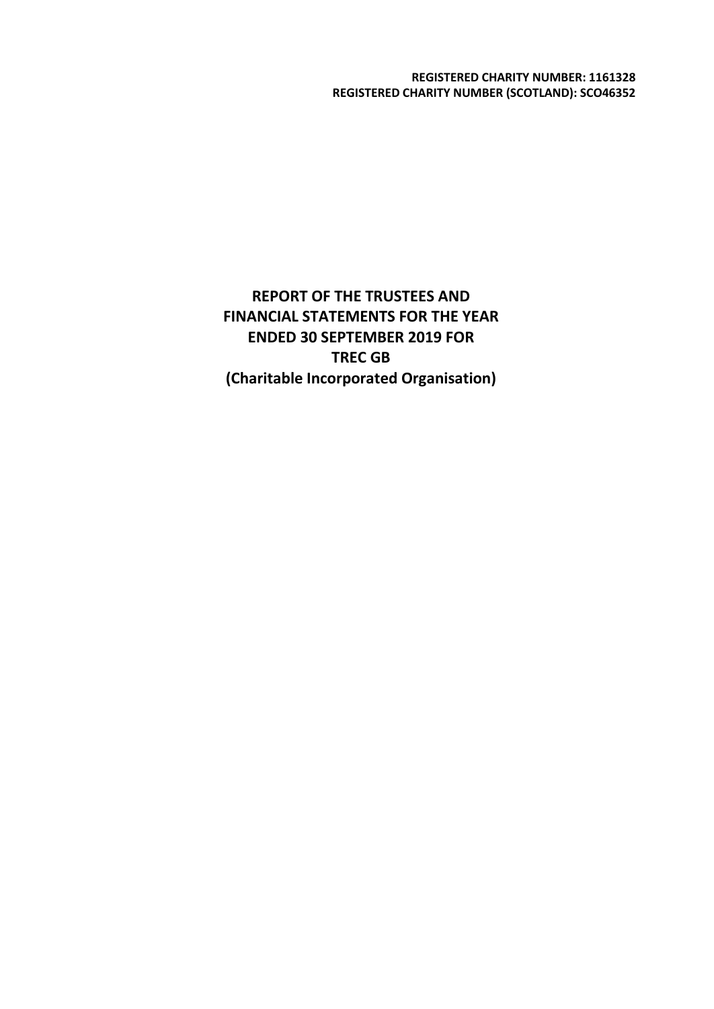**REGISTERED CHARITY NUMBER: 1161328 REGISTERED CHARITY NUMBER (SCOTLAND): SCO46352**

**REPORT OF THE TRUSTEES AND FINANCIAL STATEMENTS FOR THE YEAR ENDED 30 SEPTEMBER 2019 FOR TREC GB (Charitable Incorporated Organisation)**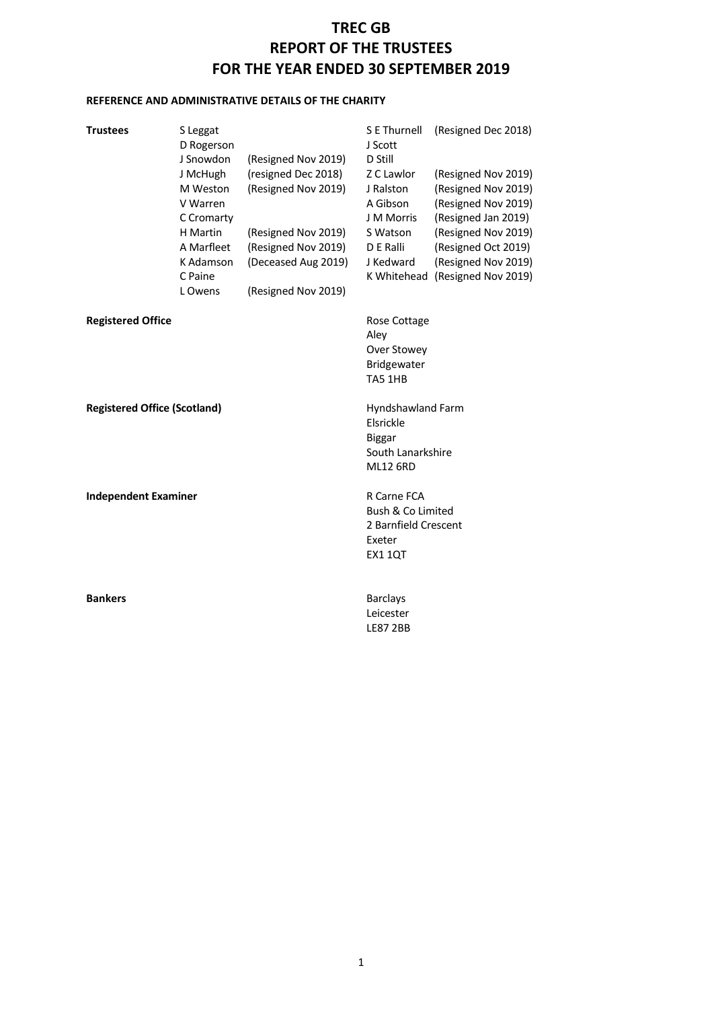### **REFERENCE AND ADMINISTRATIVE DETAILS OF THE CHARITY**

| <b>Trustees</b>                     | S Leggat<br>D Rogerson<br>J Snowdon<br>J McHugh<br>M Weston<br>V Warren<br>C Cromarty<br>H Martin<br>A Marfleet<br>K Adamson<br>C Paine<br>L Owens | (Resigned Nov 2019)<br>(resigned Dec 2018)<br>(Resigned Nov 2019)<br>(Resigned Nov 2019)<br>(Resigned Nov 2019)<br>(Deceased Aug 2019)<br>(Resigned Nov 2019) | S E Thurnell<br>J Scott<br>D Still<br>Z C Lawlor<br>J Ralston<br>A Gibson<br>J M Morris<br>S Watson<br>D E Ralli<br>J Kedward | (Resigned Dec 2018)<br>(Resigned Nov 2019)<br>(Resigned Nov 2019)<br>(Resigned Nov 2019)<br>(Resigned Jan 2019)<br>(Resigned Nov 2019)<br>(Resigned Oct 2019)<br>(Resigned Nov 2019)<br>K Whitehead (Resigned Nov 2019) |  |
|-------------------------------------|----------------------------------------------------------------------------------------------------------------------------------------------------|---------------------------------------------------------------------------------------------------------------------------------------------------------------|-------------------------------------------------------------------------------------------------------------------------------|-------------------------------------------------------------------------------------------------------------------------------------------------------------------------------------------------------------------------|--|
| <b>Registered Office</b>            |                                                                                                                                                    |                                                                                                                                                               | Rose Cottage<br>Aley<br>Over Stowey<br>Bridgewater<br>TA5 1HB                                                                 |                                                                                                                                                                                                                         |  |
| <b>Registered Office (Scotland)</b> |                                                                                                                                                    |                                                                                                                                                               | Hyndshawland Farm<br>Elsrickle<br><b>Biggar</b><br>South Lanarkshire<br><b>ML12 6RD</b>                                       |                                                                                                                                                                                                                         |  |
| <b>Independent Examiner</b>         |                                                                                                                                                    |                                                                                                                                                               | R Carne FCA<br>Bush & Co Limited<br>2 Barnfield Crescent<br>Exeter<br><b>EX1 1QT</b>                                          |                                                                                                                                                                                                                         |  |
| <b>Bankers</b>                      |                                                                                                                                                    |                                                                                                                                                               | <b>Barclays</b><br>Leicester<br><b>LE87 2BB</b>                                                                               |                                                                                                                                                                                                                         |  |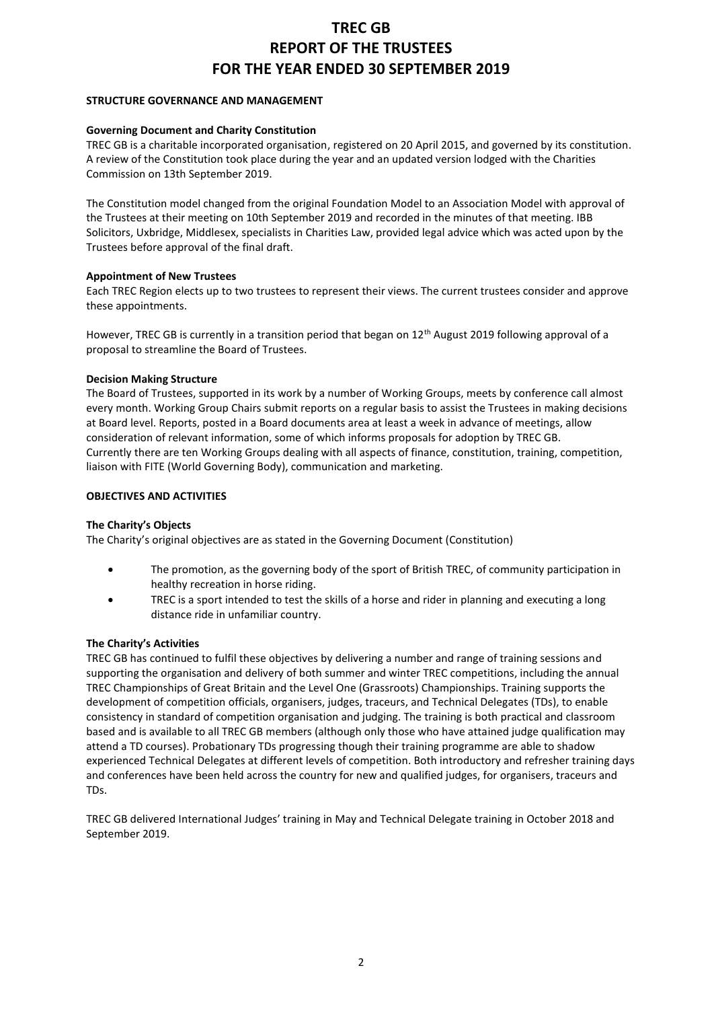#### **STRUCTURE GOVERNANCE AND MANAGEMENT**

#### **Governing Document and Charity Constitution**

TREC GB is a charitable incorporated organisation, registered on 20 April 2015, and governed by its constitution. A review of the Constitution took place during the year and an updated version lodged with the Charities Commission on 13th September 2019.

The Constitution model changed from the original Foundation Model to an Association Model with approval of the Trustees at their meeting on 10th September 2019 and recorded in the minutes of that meeting. IBB Solicitors, Uxbridge, Middlesex, specialists in Charities Law, provided legal advice which was acted upon by the Trustees before approval of the final draft.

#### **Appointment of New Trustees**

Each TREC Region elects up to two trustees to represent their views. The current trustees consider and approve these appointments.

However, TREC GB is currently in a transition period that began on 12<sup>th</sup> August 2019 following approval of a proposal to streamline the Board of Trustees.

#### **Decision Making Structure**

The Board of Trustees, supported in its work by a number of Working Groups, meets by conference call almost every month. Working Group Chairs submit reports on a regular basis to assist the Trustees in making decisions at Board level. Reports, posted in a Board documents area at least a week in advance of meetings, allow consideration of relevant information, some of which informs proposals for adoption by TREC GB. Currently there are ten Working Groups dealing with all aspects of finance, constitution, training, competition, liaison with FITE (World Governing Body), communication and marketing.

#### **OBJECTIVES AND ACTIVITIES**

#### **The Charity's Objects**

The Charity's original objectives are as stated in the Governing Document (Constitution)

- The promotion, as the governing body of the sport of British TREC, of community participation in healthy recreation in horse riding.
- TREC is a sport intended to test the skills of a horse and rider in planning and executing a long distance ride in unfamiliar country.

#### **The Charity's Activities**

TREC GB has continued to fulfil these objectives by delivering a number and range of training sessions and supporting the organisation and delivery of both summer and winter TREC competitions, including the annual TREC Championships of Great Britain and the Level One (Grassroots) Championships. Training supports the development of competition officials, organisers, judges, traceurs, and Technical Delegates (TDs), to enable consistency in standard of competition organisation and judging. The training is both practical and classroom based and is available to all TREC GB members (although only those who have attained judge qualification may attend a TD courses). Probationary TDs progressing though their training programme are able to shadow experienced Technical Delegates at different levels of competition. Both introductory and refresher training days and conferences have been held across the country for new and qualified judges, for organisers, traceurs and TDs.

TREC GB delivered International Judges' training in May and Technical Delegate training in October 2018 and September 2019.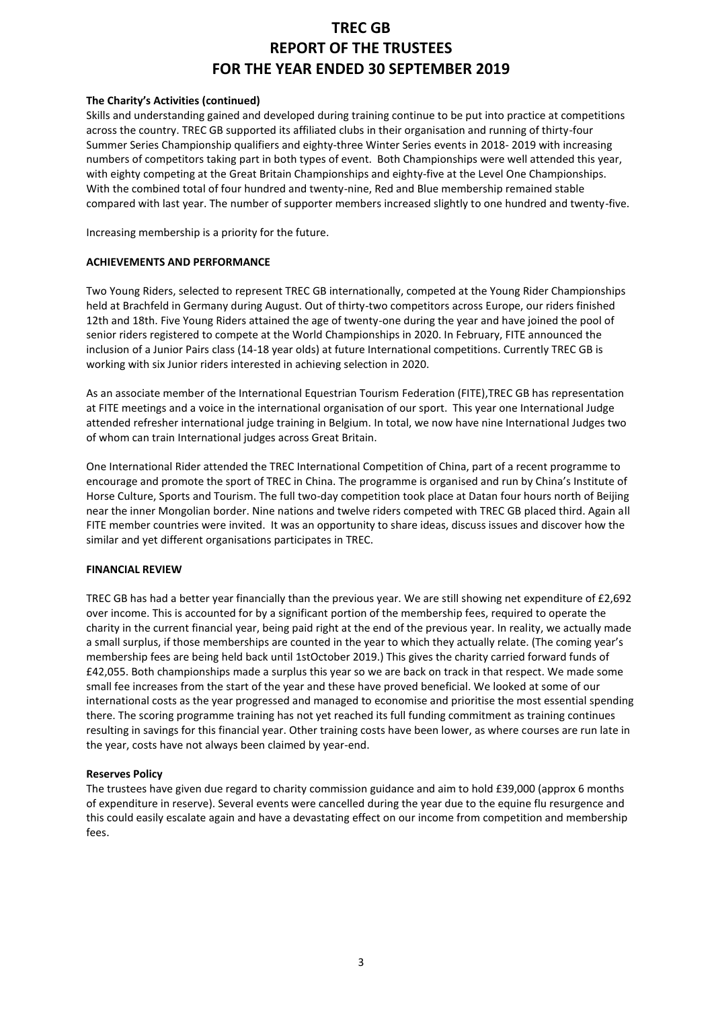#### **The Charity's Activities (continued)**

Skills and understanding gained and developed during training continue to be put into practice at competitions across the country. TREC GB supported its affiliated clubs in their organisation and running of thirty-four Summer Series Championship qualifiers and eighty-three Winter Series events in 2018- 2019 with increasing numbers of competitors taking part in both types of event. Both Championships were well attended this year, with eighty competing at the Great Britain Championships and eighty-five at the Level One Championships. With the combined total of four hundred and twenty-nine, Red and Blue membership remained stable compared with last year. The number of supporter members increased slightly to one hundred and twenty-five.

Increasing membership is a priority for the future.

#### **ACHIEVEMENTS AND PERFORMANCE**

Two Young Riders, selected to represent TREC GB internationally, competed at the Young Rider Championships held at Brachfeld in Germany during August. Out of thirty-two competitors across Europe, our riders finished 12th and 18th. Five Young Riders attained the age of twenty-one during the year and have joined the pool of senior riders registered to compete at the World Championships in 2020. In February, FITE announced the inclusion of a Junior Pairs class (14-18 year olds) at future International competitions. Currently TREC GB is working with six Junior riders interested in achieving selection in 2020.

As an associate member of the International Equestrian Tourism Federation (FITE),TREC GB has representation at FITE meetings and a voice in the international organisation of our sport. This year one International Judge attended refresher international judge training in Belgium. In total, we now have nine International Judges two of whom can train International judges across Great Britain.

One International Rider attended the TREC International Competition of China, part of a recent programme to encourage and promote the sport of TREC in China. The programme is organised and run by China's Institute of Horse Culture, Sports and Tourism. The full two-day competition took place at Datan four hours north of Beijing near the inner Mongolian border. Nine nations and twelve riders competed with TREC GB placed third. Again all FITE member countries were invited. It was an opportunity to share ideas, discuss issues and discover how the similar and yet different organisations participates in TREC.

#### **FINANCIAL REVIEW**

TREC GB has had a better year financially than the previous year. We are still showing net expenditure of £2,692 over income. This is accounted for by a significant portion of the membership fees, required to operate the charity in the current financial year, being paid right at the end of the previous year. In reality, we actually made a small surplus, if those memberships are counted in the year to which they actually relate. (The coming year's membership fees are being held back until 1stOctober 2019.) This gives the charity carried forward funds of £42,055. Both championships made a surplus this year so we are back on track in that respect. We made some small fee increases from the start of the year and these have proved beneficial. We looked at some of our international costs as the year progressed and managed to economise and prioritise the most essential spending there. The scoring programme training has not yet reached its full funding commitment as training continues resulting in savings for this financial year. Other training costs have been lower, as where courses are run late in the year, costs have not always been claimed by year-end.

#### **Reserves Policy**

The trustees have given due regard to charity commission guidance and aim to hold £39,000 (approx 6 months of expenditure in reserve). Several events were cancelled during the year due to the equine flu resurgence and this could easily escalate again and have a devastating effect on our income from competition and membership fees.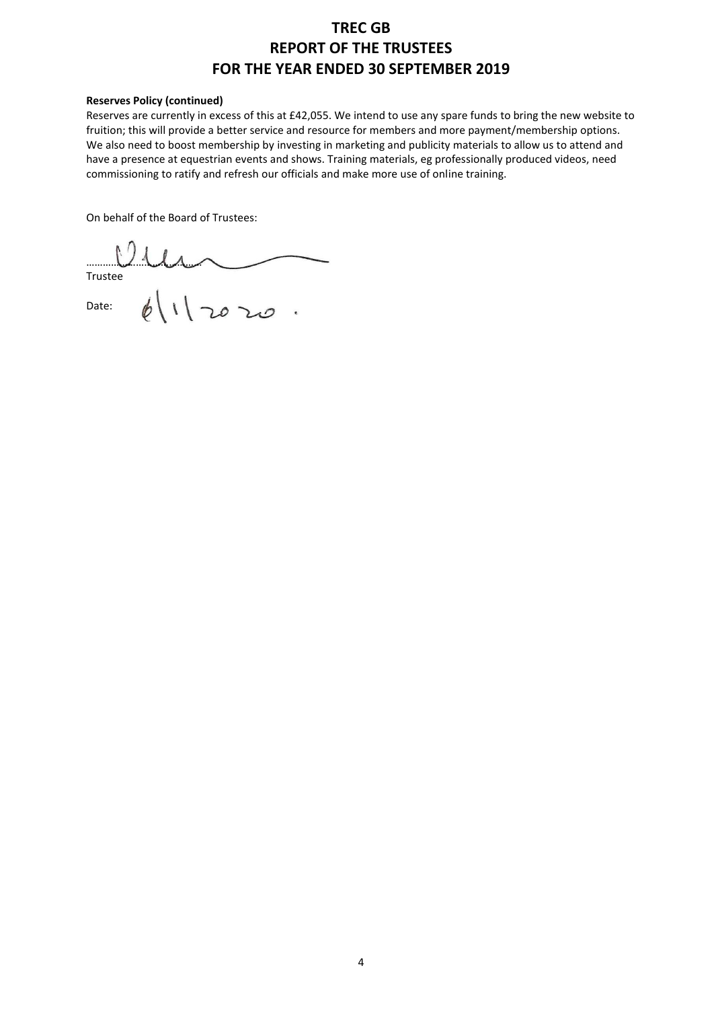#### **Reserves Policy (continued)**

Reserves are currently in excess of this at £42,055. We intend to use any spare funds to bring the new website to fruition; this will provide a better service and resource for members and more payment/membership options. We also need to boost membership by investing in marketing and publicity materials to allow us to attend and have a presence at equestrian events and shows. Training materials, eg professionally produced videos, need commissioning to ratify and refresh our officials and make more use of online training.

On behalf of the Board of Trustees:

…………………………………… Trustee

Date: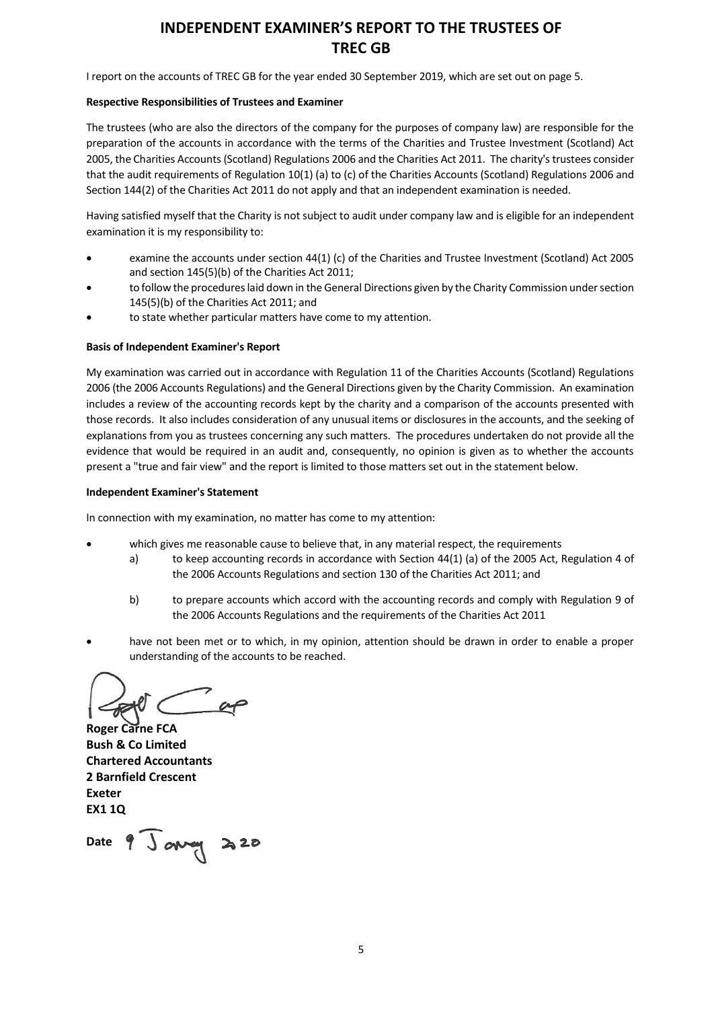## **INDEPENDENT EXAMINER'S REPORT TO THE TRUSTEES OF TREC GB**

I report on the accounts of TREC GB for the year ended 30 September 2019, which are set out on page 5.

#### **Respective Responsibilities of Trustees and Examiner**

The trustees (who are also the directors of the company for the purposes of company law) are responsible for the preparation of the accounts in accordance with the terms of the Charities and Trustee Investment (Scotland) Act 2005, the Charities Accounts (Scotland) Regulations 2006 and the Charities Act 2011. The charity's trustees consider that the audit requirements of Regulation 10(1) (a) to (c) of the Charities Accounts (Scotland) Regulations 2006 and Section 144(2) of the Charities Act 2011 do not apply and that an independent examination is needed.

Having satisfied myself that the Charity is not subject to audit under company law and is eligible for an independent examination it is my responsibility to:

- examine the accounts under section 44(1) (c) of the Charities and Trustee Investment (Scotland) Act 2005 and section 145(5)(b) of the Charities Act 2011;
- to follow the procedures laid down in the General Directions given by the Charity Commission under section 145(5)(b) of the Charities Act 2011; and
- to state whether particular matters have come to my attention.

#### **Basis of Independent Examiner's Report**

My examination was carried out in accordance with Regulation 11 of the Charities Accounts (Scotland) Regulations 2006 (the 2006 Accounts Regulations) and the General Directions given by the Charity Commission. An examination includes a review of the accounting records kept by the charity and a comparison of the accounts presented with those records. It also includes consideration of any unusual items or disclosures in the accounts, and the seeking of explanations from you as trustees concerning any such matters. The procedures undertaken do not provide all the evidence that would be required in an audit and, consequently, no opinion is given as to whether the accounts present a "true and fair view" and the report is limited to those matters set out in the statement below.

#### **Independent Examiner's Statement**

In connection with my examination, no matter has come to my attention:

- which gives me reasonable cause to believe that, in any material respect, the requirements
	- a) to keep accounting records in accordance with Section 44(1) (a) of the 2005 Act, Regulation 4 of the 2006 Accounts Regulations and section 130 of the Charities Act 2011; and
	- b) to prepare accounts which accord with the accounting records and comply with Regulation 9 of the 2006 Accounts Regulations and the requirements of the Charities Act 2011
- have not been met or to which, in my opinion, attention should be drawn in order to enable a proper understanding of the accounts to be reached.

**Roger Carne FCA Bush & Co Limited Chartered Accountants 2 Barnfield Crescent Exeter EX1 1Q**

Date 9 Ja**vag 220**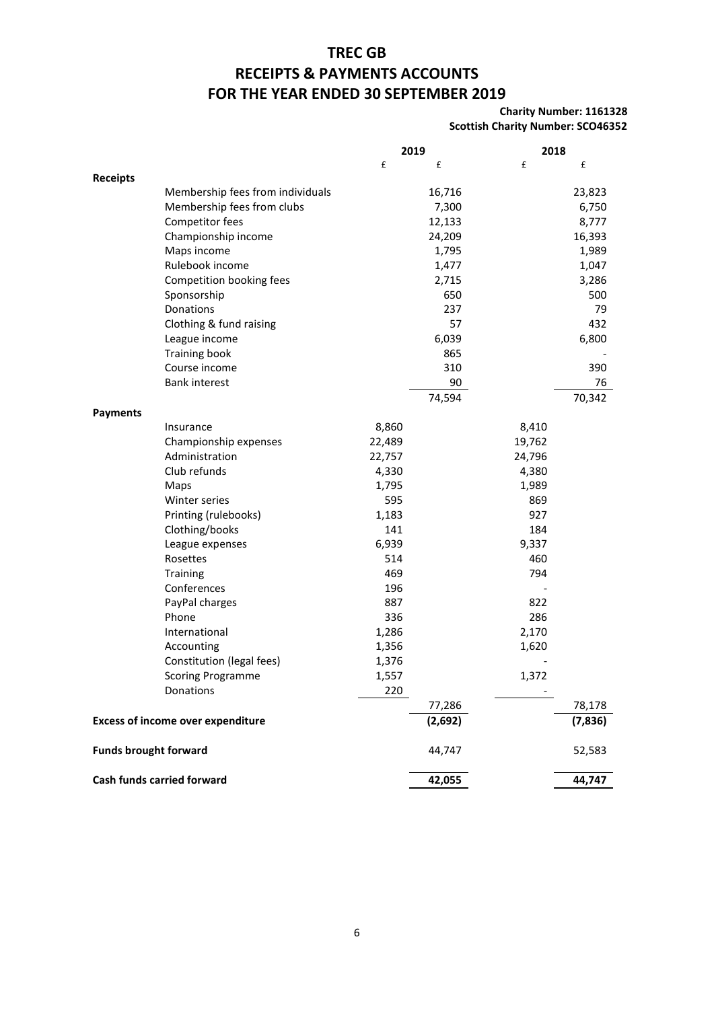### **TREC GB**

### **RECEIPTS & PAYMENTS ACCOUNTS**

### **FOR THE YEAR ENDED 30 SEPTEMBER 2019**

#### **Charity Number: 1161328 Scottish Charity Number: SCO46352**

|                                          |                                  | 2019   |         |        | 2018    |  |
|------------------------------------------|----------------------------------|--------|---------|--------|---------|--|
|                                          |                                  | £      | £       | £      | £       |  |
| <b>Receipts</b>                          |                                  |        |         |        |         |  |
|                                          | Membership fees from individuals |        | 16,716  |        | 23,823  |  |
|                                          | Membership fees from clubs       |        | 7,300   |        | 6,750   |  |
|                                          | Competitor fees                  |        | 12,133  |        | 8,777   |  |
|                                          | Championship income              |        | 24,209  |        | 16,393  |  |
|                                          | Maps income                      |        | 1,795   |        | 1,989   |  |
|                                          | Rulebook income                  |        | 1,477   |        | 1,047   |  |
|                                          | Competition booking fees         |        | 2,715   |        | 3,286   |  |
|                                          | Sponsorship                      |        | 650     |        | 500     |  |
|                                          | Donations                        |        | 237     |        | 79      |  |
|                                          | Clothing & fund raising          |        | 57      |        | 432     |  |
|                                          | League income                    |        | 6,039   |        | 6,800   |  |
|                                          | <b>Training book</b>             |        | 865     |        |         |  |
|                                          | Course income                    |        | 310     |        | 390     |  |
|                                          | <b>Bank interest</b>             |        | 90      |        | 76      |  |
|                                          |                                  |        | 74,594  |        | 70,342  |  |
| <b>Payments</b>                          |                                  |        |         |        |         |  |
|                                          | Insurance                        | 8,860  |         | 8,410  |         |  |
|                                          | Championship expenses            | 22,489 |         | 19,762 |         |  |
|                                          | Administration                   | 22,757 |         | 24,796 |         |  |
|                                          | Club refunds                     | 4,330  |         | 4,380  |         |  |
|                                          | Maps                             | 1,795  |         | 1,989  |         |  |
|                                          | Winter series                    | 595    |         | 869    |         |  |
|                                          | Printing (rulebooks)             | 1,183  |         | 927    |         |  |
|                                          | Clothing/books                   | 141    |         | 184    |         |  |
|                                          | League expenses                  | 6,939  |         | 9,337  |         |  |
|                                          | Rosettes                         | 514    |         | 460    |         |  |
|                                          | Training                         | 469    |         | 794    |         |  |
|                                          | Conferences                      | 196    |         |        |         |  |
|                                          | PayPal charges                   | 887    |         | 822    |         |  |
|                                          | Phone                            | 336    |         | 286    |         |  |
|                                          | International                    | 1,286  |         | 2,170  |         |  |
|                                          | Accounting                       | 1,356  |         | 1,620  |         |  |
|                                          | Constitution (legal fees)        | 1,376  |         |        |         |  |
|                                          | <b>Scoring Programme</b>         | 1,557  |         | 1,372  |         |  |
|                                          | Donations                        | 220    |         |        |         |  |
|                                          |                                  |        | 77,286  |        | 78,178  |  |
| <b>Excess of income over expenditure</b> |                                  |        | (2,692) |        | (7,836) |  |
| <b>Funds brought forward</b>             |                                  |        | 44,747  |        | 52,583  |  |
| Cash funds carried forward               |                                  |        | 42,055  |        | 44,747  |  |